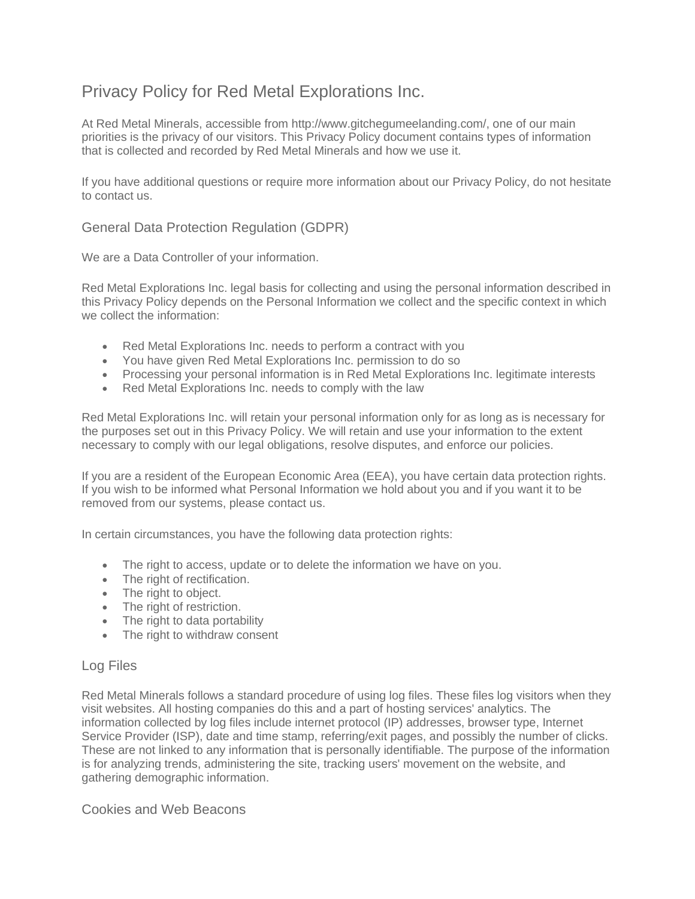# Privacy Policy for Red Metal Explorations Inc.

At Red Metal Minerals, accessible from http://www.gitchegumeelanding.com/, one of our main priorities is the privacy of our visitors. This Privacy Policy document contains types of information that is collected and recorded by Red Metal Minerals and how we use it.

If you have additional questions or require more information about our Privacy Policy, do not hesitate to contact us.

# General Data Protection Regulation (GDPR)

We are a Data Controller of your information.

Red Metal Explorations Inc. legal basis for collecting and using the personal information described in this Privacy Policy depends on the Personal Information we collect and the specific context in which we collect the information:

- Red Metal Explorations Inc. needs to perform a contract with you
- You have given Red Metal Explorations Inc. permission to do so
- Processing your personal information is in Red Metal Explorations Inc. legitimate interests
- Red Metal Explorations Inc. needs to comply with the law

Red Metal Explorations Inc. will retain your personal information only for as long as is necessary for the purposes set out in this Privacy Policy. We will retain and use your information to the extent necessary to comply with our legal obligations, resolve disputes, and enforce our policies.

If you are a resident of the European Economic Area (EEA), you have certain data protection rights. If you wish to be informed what Personal Information we hold about you and if you want it to be removed from our systems, please contact us.

In certain circumstances, you have the following data protection rights:

- The right to access, update or to delete the information we have on you.
- The right of rectification.
- The right to object.
- The right of restriction.
- The right to data portability
- The right to withdraw consent

## Log Files

Red Metal Minerals follows a standard procedure of using log files. These files log visitors when they visit websites. All hosting companies do this and a part of hosting services' analytics. The information collected by log files include internet protocol (IP) addresses, browser type, Internet Service Provider (ISP), date and time stamp, referring/exit pages, and possibly the number of clicks. These are not linked to any information that is personally identifiable. The purpose of the information is for analyzing trends, administering the site, tracking users' movement on the website, and gathering demographic information.

Cookies and Web Beacons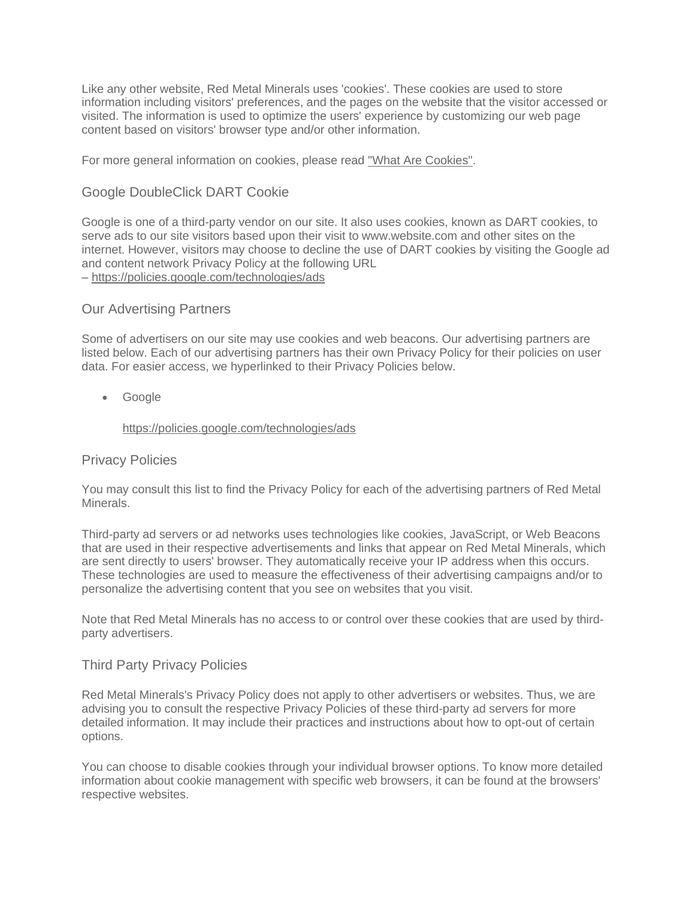Like any other website, Red Metal Minerals uses 'cookies'. These cookies are used to store information including visitors' preferences, and the pages on the website that the visitor accessed or visited. The information is used to optimize the users' experience by customizing our web page content based on visitors' browser type and/or other information.

For more general information on cookies, please read ["What Are Cookies".](https://www.cookieconsent.com/what-are-cookies/)

## Google DoubleClick DART Cookie

Google is one of a third-party vendor on our site. It also uses cookies, known as DART cookies, to serve ads to our site visitors based upon their visit to www.website.com and other sites on the internet. However, visitors may choose to decline the use of DART cookies by visiting the Google ad and content network Privacy Policy at the following URL – <https://policies.google.com/technologies/ads>

## Our Advertising Partners

Some of advertisers on our site may use cookies and web beacons. Our advertising partners are listed below. Each of our advertising partners has their own Privacy Policy for their policies on user data. For easier access, we hyperlinked to their Privacy Policies below.

• Google

#### <https://policies.google.com/technologies/ads>

#### Privacy Policies

You may consult this list to find the Privacy Policy for each of the advertising partners of Red Metal **Minerals** 

Third-party ad servers or ad networks uses technologies like cookies, JavaScript, or Web Beacons that are used in their respective advertisements and links that appear on Red Metal Minerals, which are sent directly to users' browser. They automatically receive your IP address when this occurs. These technologies are used to measure the effectiveness of their advertising campaigns and/or to personalize the advertising content that you see on websites that you visit.

Note that Red Metal Minerals has no access to or control over these cookies that are used by thirdparty advertisers.

## Third Party Privacy Policies

Red Metal Minerals's Privacy Policy does not apply to other advertisers or websites. Thus, we are advising you to consult the respective Privacy Policies of these third-party ad servers for more detailed information. It may include their practices and instructions about how to opt-out of certain options.

You can choose to disable cookies through your individual browser options. To know more detailed information about cookie management with specific web browsers, it can be found at the browsers' respective websites.